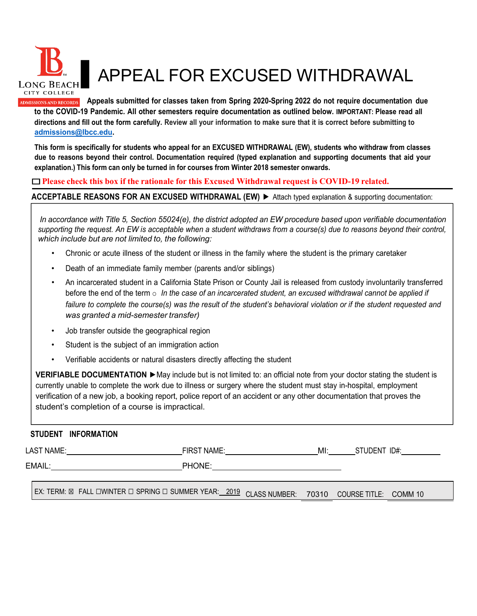

## ▌APPEAL FOR EXCUSED WITHDRAWAL

**Appeals submitted for classes taken from Spring 2020-Spring 2022 do not require documentation due to the COVID-19 Pandemic. All other semesters require documentation as outlined below. IMPORTANT: Please read all directions and fill out the form carefully. Review all your information to make sure that it is correct before submitting to [admissions@lbcc.edu.](mailto:admissions@lbcc.edu)**

**This form is specifically for students who appeal for an EXCUSED WITHDRAWAL (EW), students who withdraw from classes due to reasons beyond their control. Documentation required (typed explanation and supporting documents that aid your explanation.) This form can only be turned in for courses from Winter 2018 semester onwards.**

## ☐**Please check this box if the rationale for this Excused Withdrawal request is COVID-19 related.**

**ACCEPTABLE REASONS FOR AN EXCUSED WITHDRAWAL (EW)** ► Attach typed explanation & supporting documentation:

In accordance with Title 5. Section 55024(e), the district adopted an EW procedure based upon verifiable documentation *supporting the request. An EW is acceptable when a student withdraws from a course(s) due to reasons beyond their control, which include but are not limited to, the following:*

- Chronic or acute illness of the student or illness in the family where the student is the primary caretaker
- Death of an immediate family member (parents and/or siblings)
- An incarcerated student in a California State Prison or County Jail is released from custody involuntarily transferred before the end of the term o *In the case of an incarcerated student, an excused withdrawal cannot be applied if* failure to complete the course(s) was the result of the student's behavioral violation or if the student requested and *was granted a mid-semester transfer)*
- Job transfer outside the geographical region
- Student is the subject of an immigration action
- Verifiable accidents or natural disasters directly affecting the student

**VERIFIABLE DOCUMENTATION ►**May include but is not limited to: an official note from your doctor stating the student is currently unable to complete the work due to illness or surgery where the student must stay in-hospital, employment verification of a new job, a booking report, police report of an accident or any other documentation that proves the student's completion of a course is impractical.

## **STUDENT INFORMATION**

| LAST NAME:                                                                                        | FIRST NAME: | MI: | STUDENT ID#: |
|---------------------------------------------------------------------------------------------------|-------------|-----|--------------|
| EMAIL:                                                                                            | PHONE:      |     |              |
| I EX: TERM: ⊠ FALL DWINTER D SPRING D SUMMER YEAR: 2019 CLASS NUMBER: 70310 COURSE TITLE: COMM 10 |             |     |              |